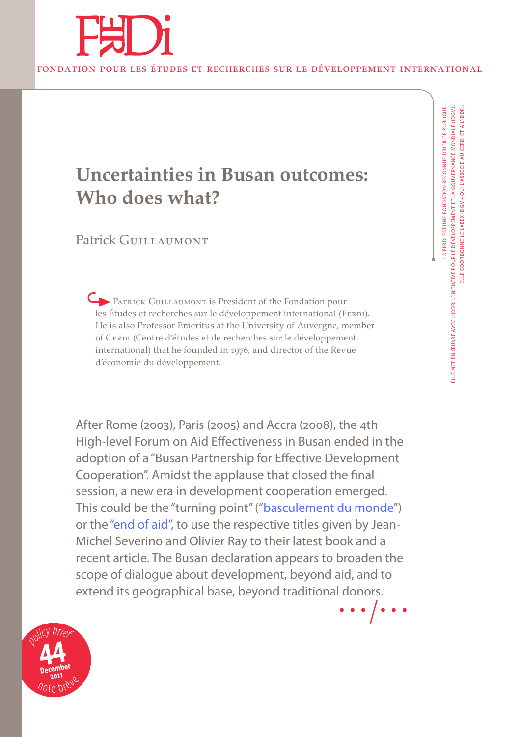

# **Uncertainties in Busan outcomes: Who does what?**

# Patrick GUILLAUMONT

PATRICK GUILLAUMONT is President of the Fondation pour les Études et recherches sur le développement international (FERDI). He is also Professor Emeritus at the University of Auvergne, member of CERDI (Centre d'études et de recherches sur le développement international) that he founded in 1976, and director of the Revue d'économie du développement.

After Rome (2003), Paris (2005) and Accra (2008), the 4th High-level Forum on Aid Effectiveness in Busan ended in the adoption of a "Busan Partnership for Effective Development Cooperation". Amidst the applause that closed the final session, a new era in development cooperation emerged. This could be the "turning point" ("[basculement du monde"](http://www.ferdi.fr/evenements/Paris%2C-H%C3%B4tel-de-l%27Industrie%2C-18-janvier-2011---Soir%C3%A9e-d%C3%A9bat-%22autour-de-l%E2%80%99ouvrage-de-Jean-Michel-Severino-et-Olivier-Ray-%22Le-Grand-Basculement---la-question-sociale-%C3%A0-l%27%C3%A9chelle-mondiale%22.html)) or the ["end of aid](http://www.ferdi.fr/Documents-de-travail.html#P11)", to use the respective titles given by Jean-Michel Severino and Olivier Ray to their latest book and a recent article. The Busan declaration appears to broaden the scope of dialogue about development, beyond aid, and to extend its geographical base, beyond traditional donors. …/  $\frac{5}{\bullet}$ .

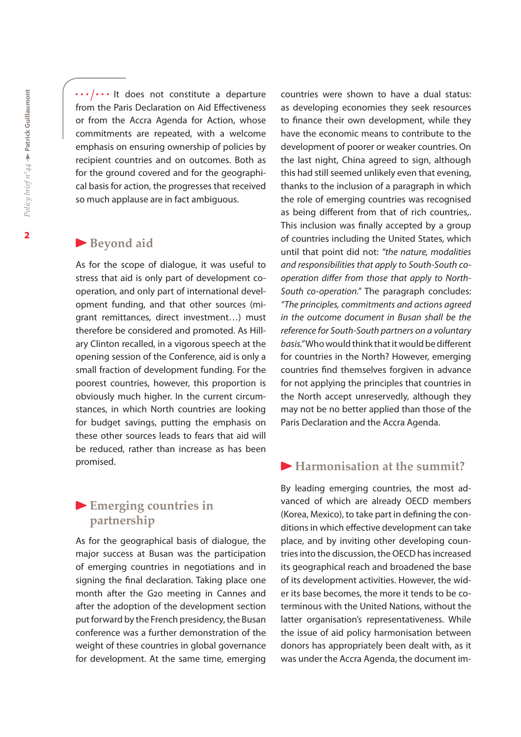.../... It does not constitute a departure from the Paris Declaration on Aid Effectiveness or from the Accra Agenda for Action, whose commitments are repeated, with a welcome emphasis on ensuring ownership of policies by recipient countries and on outcomes. Both as for the ground covered and for the geographical basis for action, the progresses that received so much applause are in fact ambiguous.

#### **Beyond aid**

As for the scope of dialogue, it was useful to stress that aid is only part of development cooperation, and only part of international development funding, and that other sources (migrant remittances, direct investment…) must therefore be considered and promoted. As Hillary Clinton recalled, in a vigorous speech at the opening session of the Conference, aid is only a small fraction of development funding. For the poorest countries, however, this proportion is obviously much higher. In the current circumstances, in which North countries are looking for budget savings, putting the emphasis on these other sources leads to fears that aid will be reduced, rather than increase as has been promised.

## **Emerging countries in partnership**

As for the geographical basis of dialogue, the major success at Busan was the participation of emerging countries in negotiations and in signing the final declaration. Taking place one month after the G20 meeting in Cannes and after the adoption of the development section put forward by the French presidency, the Busan conference was a further demonstration of the weight of these countries in global governance for development. At the same time, emerging

countries were shown to have a dual status: as developing economies they seek resources to finance their own development, while they have the economic means to contribute to the development of poorer or weaker countries. On the last night, China agreed to sign, although this had still seemed unlikely even that evening, thanks to the inclusion of a paragraph in which the role of emerging countries was recognised as being different from that of rich countries,. This inclusion was finally accepted by a group of countries including the United States, which until that point did not: *"the nature, modalities and responsibilities that apply to South-South cooperation differ from those that apply to North-South co-operation."* The paragraph concludes: *"The principles, commitments and actions agreed in the outcome document in Busan shall be the reference for South-South partners on a voluntary basis."* Who would think that it would be different for countries in the North? However, emerging countries find themselves forgiven in advance for not applying the principles that countries in the North accept unreservedly, although they may not be no better applied than those of the Paris Declaration and the Accra Agenda.

#### **Harmonisation at the summit?**

By leading emerging countries, the most advanced of which are already OECD members (Korea, Mexico), to take part in defining the conditions in which effective development can take place, and by inviting other developing countries into the discussion, the OECD has increased its geographical reach and broadened the base of its development activities. However, the wider its base becomes, the more it tends to be coterminous with the United Nations, without the latter organisation's representativeness. While the issue of aid policy harmonisation between donors has appropriately been dealt with, as it was under the Accra Agenda, the document im-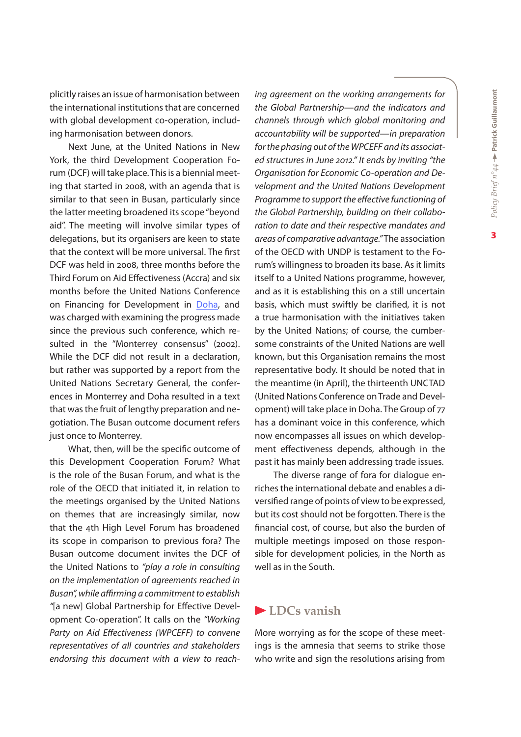plicitly raises an issue of harmonisation between the international institutions that are concerned with global development co-operation, including harmonisation between donors.

Next June, at the United Nations in New York, the third Development Cooperation Forum (DCF) will take place. This is a biennial meeting that started in 2008, with an agenda that is similar to that seen in Busan, particularly since the latter meeting broadened its scope "beyond aid". The meeting will involve similar types of delegations, but its organisers are keen to state that the context will be more universal. The first DCF was held in 2008, three months before the Third Forum on Aid Effectiveness (Accra) and six months before the United Nations Conference on Financing for Development in [Doha](http://www.ferdi.fr/evenements/Conf%C3%A9rence-des-Nations-Unies-sur-le-financement-international-du-d%C3%A9veloppement-%C3%A0-Doha.html), and was charged with examining the progress made since the previous such conference, which resulted in the "Monterrey consensus" (2002). While the DCF did not result in a declaration, but rather was supported by a report from the United Nations Secretary General, the conferences in Monterrey and Doha resulted in a text that was the fruit of lengthy preparation and negotiation. The Busan outcome document refers just once to Monterrey.

What, then, will be the specific outcome of this Development Cooperation Forum? What is the role of the Busan Forum, and what is the role of the OECD that initiated it, in relation to the meetings organised by the United Nations on themes that are increasingly similar, now that the 4th High Level Forum has broadened its scope in comparison to previous fora? The Busan outcome document invites the DCF of the United Nations to *"play a role in consulting on the implementation of agreements reached in Busan", while affirming a commitment to establish "*[a new] Global Partnership for Effective Development Co-operation". It calls on the *"Working Party on Aid Effectiveness (WPCEFF) to convene representatives of all countries and stakeholders endorsing this document with a view to reach-* *ing agreement on the working arrangements for the Global Partnership—and the indicators and channels through which global monitoring and accountability will be supported—in preparation for the phasing out of the WPCEFF and its associated structures in June 2012." It ends by inviting "the Organisation for Economic Co-operation and Development and the United Nations Development Programme to support the effective functioning of the Global Partnership, building on their collaboration to date and their respective mandates and areas of comparative advantage."* The association of the OECD with UNDP is testament to the Forum's willingness to broaden its base. As it limits itself to a United Nations programme, however, and as it is establishing this on a still uncertain basis, which must swiftly be clarified, it is not a true harmonisation with the initiatives taken by the United Nations; of course, the cumbersome constraints of the United Nations are well known, but this Organisation remains the most representative body. It should be noted that in the meantime (in April), the thirteenth UNCTAD (United Nations Conference on Trade and Development) will take place in Doha. The Group of 77 has a dominant voice in this conference, which now encompasses all issues on which development effectiveness depends, although in the past it has mainly been addressing trade issues.

The diverse range of fora for dialogue enriches the international debate and enables a diversified range of points of view to be expressed, but its cost should not be forgotten. There is the financial cost, of course, but also the burden of multiple meetings imposed on those responsible for development policies, in the North as well as in the South.

#### **LDCs vanish**

More worrying as for the scope of these meetings is the amnesia that seems to strike those who write and sign the resolutions arising from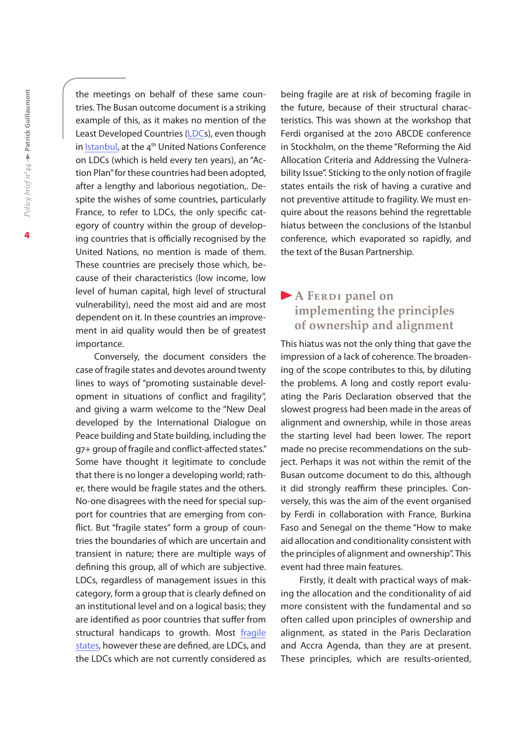the meetings on behalf of these same countries. The Busan outcome document is a striking example of this, as it makes no mention of the Least Developed Countries [\(LDC](http://www.ferdi.fr/pays-les-moins-avances.html)s), even though in [Istanbul](http://www.ferdi.fr/evenements/Istanbul%2C-11-mai-2011---IV%C3%A8me-Conf%C3%A9rence-des-Nations-Unies-sur-les-PMA1.html), at the  $4<sup>th</sup>$  United Nations Conference on LDCs (which is held every ten years), an "Action Plan" for these countries had been adopted, after a lengthy and laborious negotiation,. Despite the wishes of some countries, particularly France, to refer to LDCs, the only specific category of country within the group of developing countries that is officially recognised by the United Nations, no mention is made of them. These countries are precisely those which, because of their characteristics (low income, low level of human capital, high level of structural vulnerability), need the most aid and are most dependent on it. In these countries an improvement in aid quality would then be of greatest importance.

Conversely, the document considers the case of fragile states and devotes around twenty lines to ways of "promoting sustainable development in situations of conflict and fragility", and giving a warm welcome to the "New Deal developed by the International Dialogue on Peace building and State building, including the g7+ group of fragile and conflict-affected states." Some have thought it legitimate to conclude that there is no longer a developing world; rather, there would be fragile states and the others. No-one disagrees with the need for special support for countries that are emerging from conflict. But "fragile states" form a group of countries the boundaries of which are uncertain and transient in nature; there are multiple ways of defining this group, all of which are subjective. LDCs, regardless of management issues in this category, form a group that is clearly defined on an institutional level and on a logical basis; they are identified as poor countries that suffer from structural handicaps to growth. Most [fragile](http://www.ferdi.fr/Documents-de-travail.html#P7) [states](http://www.ferdi.fr/Documents-de-travail.html#P7), however these are defined, are LDCs, and the LDCs which are not currently considered as

being fragile are at risk of becoming fragile in the future, because of their structural characteristics. This was shown at the workshop that Ferdi organised at the 2010 ABCDE conference in Stockholm, on the theme "Reforming the Aid Allocation Criteria and Addressing the Vulnerability Issue". Sticking to the only notion of fragile states entails the risk of having a curative and not preventive attitude to fragility. We must enquire about the reasons behind the regrettable hiatus between the conclusions of the Istanbul conference, which evaporated so rapidly, and the text of the Busan Partnership.

# **A FERDI panel on implementing the principles of ownership and alignment**

This hiatus was not the only thing that gave the impression of a lack of coherence. The broadening of the scope contributes to this, by diluting the problems. A long and costly report evaluating the Paris Declaration observed that the slowest progress had been made in the areas of alignment and ownership, while in those areas the starting level had been lower. The report made no precise recommendations on the subject. Perhaps it was not within the remit of the Busan outcome document to do this, although it did strongly reaffirm these principles. Conversely, this was the aim of the event organised by Ferdi in collaboration with France, Burkina Faso and Senegal on the theme "How to make aid allocation and conditionality consistent with the principles of alignment and ownership". This event had three main features.

Firstly, it dealt with practical ways of making the allocation and the conditionality of aid more consistent with the fundamental and so often called upon principles of ownership and alignment, as stated in the Paris Declaration and Accra Agenda, than they are at present. These principles, which are results-oriented,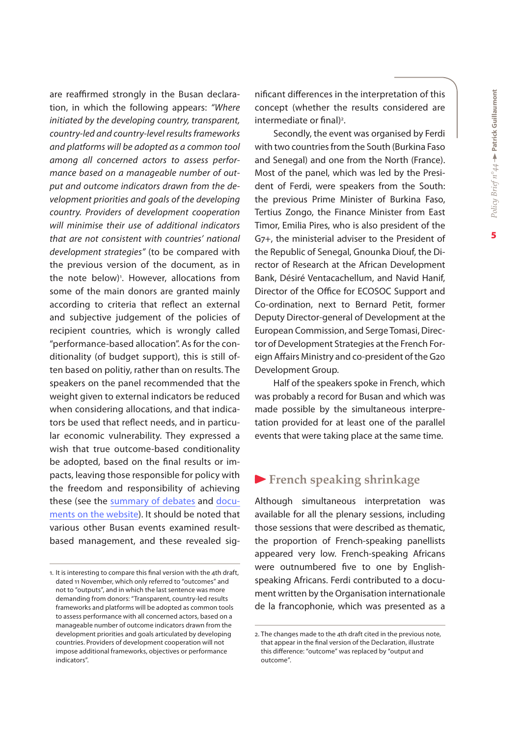are reaffirmed strongly in the Busan declaration, in which the following appears: *"Where initiated by the developing country, transparent, country-led and country-level results frameworks and platforms will be adopted as a common tool among all concerned actors to assess performance based on a manageable number of output and outcome indicators drawn from the development priorities and goals of the developing country. Providers of development cooperation will minimise their use of additional indicators that are not consistent with countries' national development strategies"* (to be compared with the previous version of the document, as in the note below)<sup>1</sup>. However, allocations from some of the main donors are granted mainly according to criteria that reflect an external and subjective judgement of the policies of recipient countries, which is wrongly called "performance-based allocation". As for the conditionality (of budget support), this is still often based on politiy, rather than on results. The speakers on the panel recommended that the weight given to external indicators be reduced when considering allocations, and that indicators be used that reflect needs, and in particular economic vulnerability. They expressed a wish that true outcome-based conditionality be adopted, based on the final results or impacts, leaving those responsible for policy with the freedom and responsibility of achieving these (see the [summary of debates](http://www.ferdi.fr/uploads/sfCmsNews/html/115/CR_R.pdf) and [docu](http://www.ferdi.fr/en/events/Busan--29th-November-1st-December%2C-2011---%22How-to-make-aid-allocation-and-conditionalities-consistent-with-the-alignment-and-ownership-principles%3F%22.html#Do)[ments on the website](http://www.ferdi.fr/en/events/Busan--29th-November-1st-December%2C-2011---%22How-to-make-aid-allocation-and-conditionalities-consistent-with-the-alignment-and-ownership-principles%3F%22.html#Do)). It should be noted that various other Busan events examined resultbased management, and these revealed significant differences in the interpretation of this concept (whether the results considered are intermediate or final)<sup>2</sup>.

Secondly, the event was organised by Ferdi with two countries from the South (Burkina Faso and Senegal) and one from the North (France). Most of the panel, which was led by the President of Ferdi, were speakers from the South: the previous Prime Minister of Burkina Faso, Tertius Zongo, the Finance Minister from East Timor, Emilia Pires, who is also president of the G7+, the ministerial adviser to the President of the Republic of Senegal, Gnounka Diouf, the Director of Research at the African Development Bank, Désiré Ventacachellum, and Navid Hanif, Director of the Office for ECOSOC Support and Co-ordination, next to Bernard Petit, former Deputy Director-general of Development at the European Commission, and Serge Tomasi, Director of Development Strategies at the French Foreign Affairs Ministry and co-president of the G20 Development Group.

Half of the speakers spoke in French, which was probably a record for Busan and which was made possible by the simultaneous interpretation provided for at least one of the parallel events that were taking place at the same time.

#### **French speaking shrinkage**

Although simultaneous interpretation was available for all the plenary sessions, including those sessions that were described as thematic, the proportion of French-speaking panellists appeared very low. French-speaking Africans were outnumbered five to one by Englishspeaking Africans. Ferdi contributed to a document written by the Organisation internationale de la francophonie, which was presented as a

<sup>1.</sup> It is interesting to compare this final version with the 4th draft, dated 11 November, which only referred to "outcomes" and not to "outputs", and in which the last sentence was more demanding from donors: "Transparent, country-led results frameworks and platforms will be adopted as common tools to assess performance with all concerned actors, based on a manageable number of outcome indicators drawn from the development priorities and goals articulated by developing countries. Providers of development cooperation will not impose additional frameworks, objectives or performance indicators".

<sup>2.</sup> The changes made to the 4th draft cited in the previous note, that appear in the final version of the Declaration, illustrate this difference: "outcome" was replaced by "output and outcome".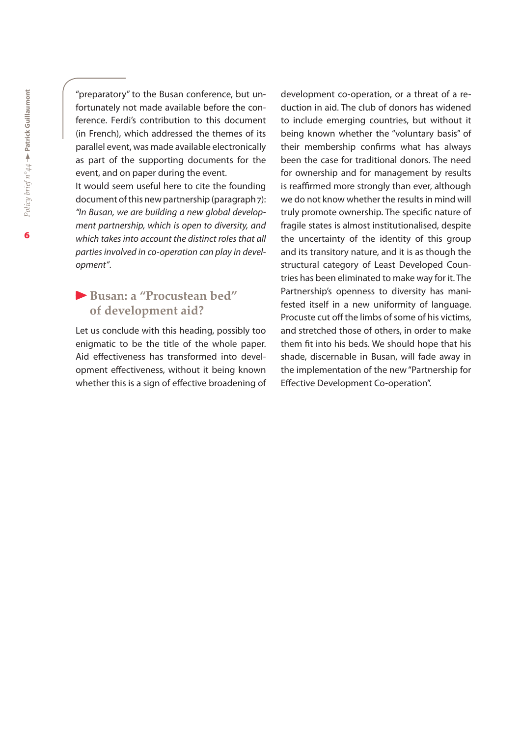"preparatory" to the Busan conference, but unfortunately not made available before the conference. Ferdi's contribution to this document (in French), which addressed the themes of its parallel event, was made available electronically as part of the supporting documents for the event, and on paper during the event. It would seem useful here to cite the founding document of this new partnership (paragraph 7): *"In Busan, we are building a new global development partnership, which is open to diversity, and* 

*which takes into account the distinct roles that all parties involved in co-operation can play in development"*.

## **Busan: a "Procustean bed" of development aid?**

Let us conclude with this heading, possibly too enigmatic to be the title of the whole paper. Aid effectiveness has transformed into development effectiveness, without it being known whether this is a sign of effective broadening of development co-operation, or a threat of a reduction in aid. The club of donors has widened to include emerging countries, but without it being known whether the "voluntary basis" of their membership confirms what has always been the case for traditional donors. The need for ownership and for management by results is reaffirmed more strongly than ever, although we do not know whether the results in mind will truly promote ownership. The specific nature of fragile states is almost institutionalised, despite the uncertainty of the identity of this group and its transitory nature, and it is as though the structural category of Least Developed Countries has been eliminated to make way for it. The Partnership's openness to diversity has manifested itself in a new uniformity of language. Procuste cut off the limbs of some of his victims, and stretched those of others, in order to make them fit into his beds. We should hope that his shade, discernable in Busan, will fade away in the implementation of the new "Partnership for Effective Development Co-operation".